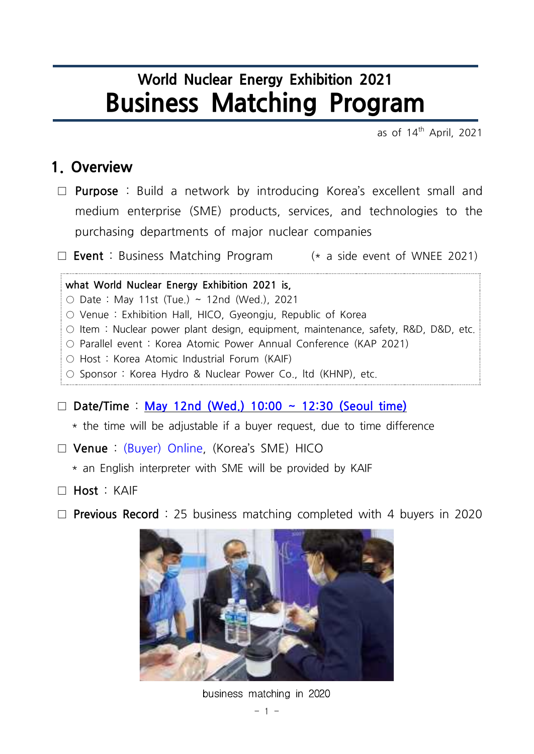# **World Nuclear Energy Exhibition 2021 Business Matching Program**

as of 14<sup>th</sup> April, 2021

#### **1. Overview**

□ **Purpose** : Build a network by introducing Korea's excellent small and medium enterprise (SME) products, services, and technologies to the purchasing departments of major nuclear companies □ **Purpose** : Build a network by introducing Korea's excellent small and<br>medium enterprise (SME) products, services, and technologies to the<br>purchasing departments of major nuclear companies<br>
□ **Event** : Business Matching

**what World Nuclear Energy Exhibition 2021 is,**  $\circ$  Date : May 11st (Tue.) ~ 12nd (Wed.), 2021

- Venue : Exhibition Hall, HICO, Gyeongju, Republic of Korea
- $\circ$  Item : Nuclear power plant design, equipment, maintenance, safety, R&D, D&D, etc.
- Parallel event : Korea Atomic Power Annual Conference (KAP 2021)
- Host : Korea Atomic Industrial Forum (KAIF)
- Sponsor : Korea Hydro & Nuclear Power Co., ltd (KHNP), etc.

□ **Date/Time** : **May 12nd (Wed.) 10:00 ~ 12:30 (Seoul time)**

- $\circ$  Host · Korea Atomic industrial Forum (KAIF)<br>  $\circ$  Sponsor : Korea Hydro & Nuclear Power Co., ltd (KHNP), etc.<br>  $\Box$  **Date/Time : <u>May 12nd (Wed.) 10:00 ~ 12:30 (Seoul time)</u><br>
\* the time will be adjustable if a buyer** □ **Date/Time** : <u>May 12nd (Wed.) 10:00 ~ 12:30 (Seoul time)</u><br>\* the time will be adjustable if a buyer request, due to time differ<br>□ **Venue** : (Buyer) Online, (Korea's SME) HICO<br>\* an English interpreter with SME will be p
- □ **Venue** : (Buyer) Online, (Korea's SME) HICO
	-
- □ **Host** : KAIF
- □ **Previous Record** : 25 business matching completed with 4 buyers in 2020



business matching in 2020